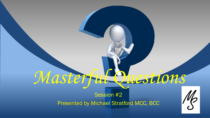# *Masterful Questions*

Session #2 Presented by Michael Stratford MCC, BCC

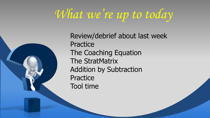### *What we're up to today*



Review/debrief about last week **Practice** The Coaching Equation The StratMatrix Addition by Subtraction **Practice** Tool time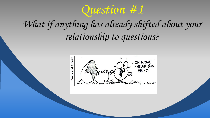

### *What if anything has already shifted about your relationship to questions?*

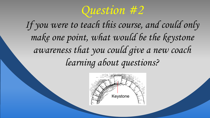

*If you were to teach this course, and could only make one point, what would be the keystone awareness that you could give a new coach learning about questions?*

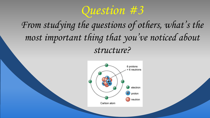

#### *From studying the questions of others, what's the most important thing that you've noticed about structure?*

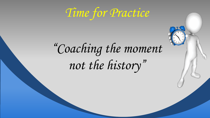*Time for Practice* 

## *"Coaching the moment not the history"*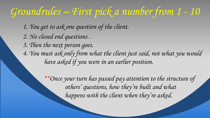### *Groundrules – First pick a number from 1 - 10*

*1. You get to ask one question of the client. 2. No closed end questions . 3. Then the next person goes. 4. You must ask only from what the client just said, not what you would have asked if you were in an earlier position.*

> *\*\*Once your turn has passed pay attention to the structure of others' questions, how they're built and what happens with the client when they're asked.*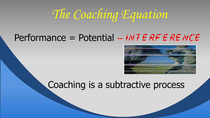### *The Coaching Equation*

#### Performance = Potential - INTERFERENCE



#### Coaching is a subtractive process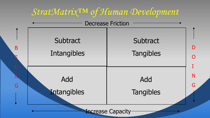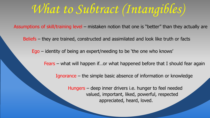*What to Subtract (Intangibles)*

Assumptions of skill/training level – mistaken notion that one is "better" than they actually are

Beliefs – they are trained, constructed and assimilated and look like truth or facts

Ego – identity of being an expert/needing to be 'the one who knows'

Fears – what will happen if…or what happened before that I should fear again

Ignorance – the simple basic absence of information or knowledge

 Hungers – deep inner drivers i.e. hunger to feel needed valued, important, liked, powerful, respected appreciated, heard, loved.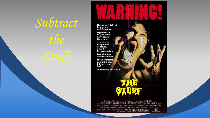

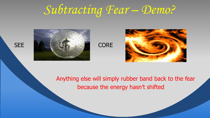### *Subtracting Fear – Demo?*





Anything else will simply rubber band back to the fear because the energy hasn't shifted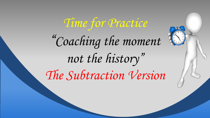# *Time for Practice "Coaching the moment not the history" The Subtraction Version*